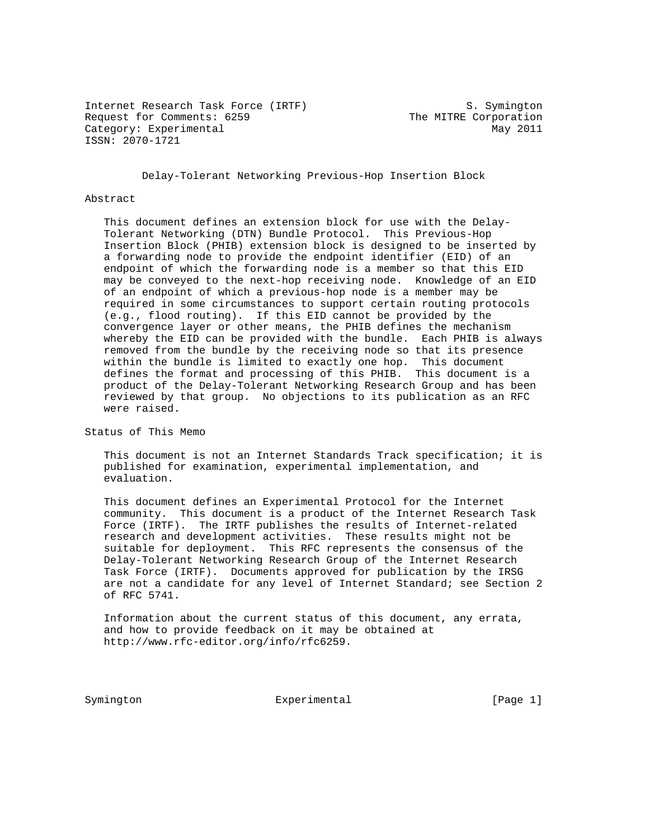Internet Research Task Force (IRTF) S. Symington Internet Research fash force (2008) (2008) The MITRE Corporation Category: Experimental May 2011 ISSN: 2070-1721

Delay-Tolerant Networking Previous-Hop Insertion Block

#### Abstract

 This document defines an extension block for use with the Delay- Tolerant Networking (DTN) Bundle Protocol. This Previous-Hop Insertion Block (PHIB) extension block is designed to be inserted by a forwarding node to provide the endpoint identifier (EID) of an endpoint of which the forwarding node is a member so that this EID may be conveyed to the next-hop receiving node. Knowledge of an EID of an endpoint of which a previous-hop node is a member may be required in some circumstances to support certain routing protocols (e.g., flood routing). If this EID cannot be provided by the convergence layer or other means, the PHIB defines the mechanism whereby the EID can be provided with the bundle. Each PHIB is always removed from the bundle by the receiving node so that its presence within the bundle is limited to exactly one hop. This document defines the format and processing of this PHIB. This document is a product of the Delay-Tolerant Networking Research Group and has been reviewed by that group. No objections to its publication as an RFC were raised.

Status of This Memo

 This document is not an Internet Standards Track specification; it is published for examination, experimental implementation, and evaluation.

 This document defines an Experimental Protocol for the Internet community. This document is a product of the Internet Research Task Force (IRTF). The IRTF publishes the results of Internet-related research and development activities. These results might not be suitable for deployment. This RFC represents the consensus of the Delay-Tolerant Networking Research Group of the Internet Research Task Force (IRTF). Documents approved for publication by the IRSG are not a candidate for any level of Internet Standard; see Section 2 of RFC 5741.

 Information about the current status of this document, any errata, and how to provide feedback on it may be obtained at http://www.rfc-editor.org/info/rfc6259.

Symington Experimental [Page 1]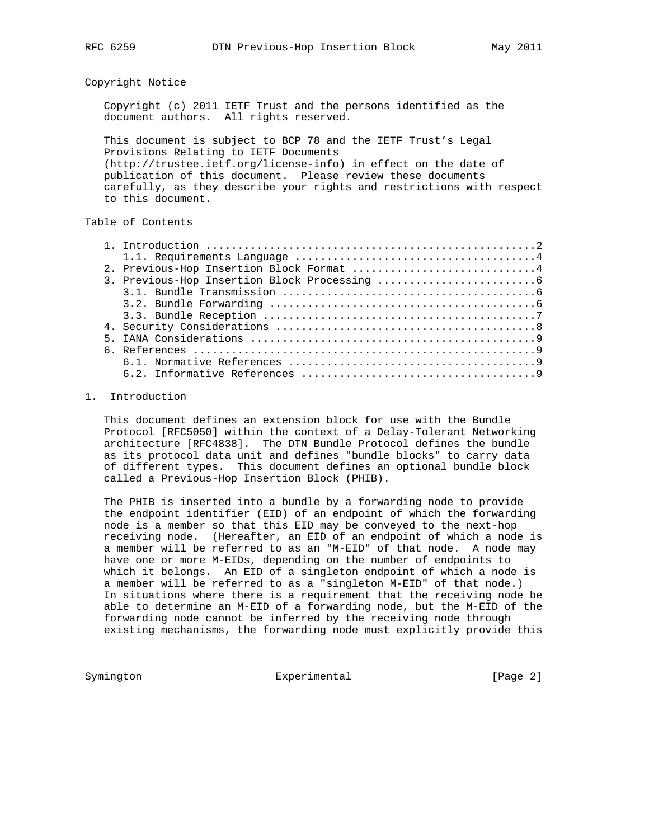#### Copyright Notice

 Copyright (c) 2011 IETF Trust and the persons identified as the document authors. All rights reserved.

 This document is subject to BCP 78 and the IETF Trust's Legal Provisions Relating to IETF Documents (http://trustee.ietf.org/license-info) in effect on the date of publication of this document. Please review these documents carefully, as they describe your rights and restrictions with respect to this document.

# Table of Contents

| 2. Previous-Hop Insertion Block Format 4 |
|------------------------------------------|
|                                          |
|                                          |
|                                          |
|                                          |
|                                          |
|                                          |
|                                          |
|                                          |
|                                          |

## 1. Introduction

 This document defines an extension block for use with the Bundle Protocol [RFC5050] within the context of a Delay-Tolerant Networking architecture [RFC4838]. The DTN Bundle Protocol defines the bundle as its protocol data unit and defines "bundle blocks" to carry data of different types. This document defines an optional bundle block called a Previous-Hop Insertion Block (PHIB).

 The PHIB is inserted into a bundle by a forwarding node to provide the endpoint identifier (EID) of an endpoint of which the forwarding node is a member so that this EID may be conveyed to the next-hop receiving node. (Hereafter, an EID of an endpoint of which a node is a member will be referred to as an "M-EID" of that node. A node may have one or more M-EIDs, depending on the number of endpoints to which it belongs. An EID of a singleton endpoint of which a node is a member will be referred to as a "singleton M-EID" of that node.) In situations where there is a requirement that the receiving node be able to determine an M-EID of a forwarding node, but the M-EID of the forwarding node cannot be inferred by the receiving node through existing mechanisms, the forwarding node must explicitly provide this

Symington Experimental Experimental [Page 2]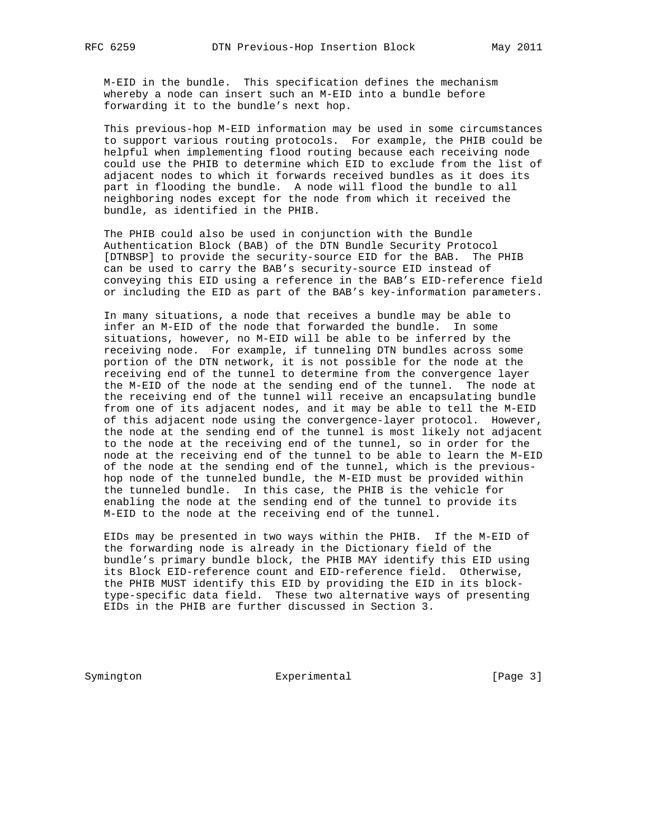M-EID in the bundle. This specification defines the mechanism whereby a node can insert such an M-EID into a bundle before forwarding it to the bundle's next hop.

 This previous-hop M-EID information may be used in some circumstances to support various routing protocols. For example, the PHIB could be helpful when implementing flood routing because each receiving node could use the PHIB to determine which EID to exclude from the list of adjacent nodes to which it forwards received bundles as it does its part in flooding the bundle. A node will flood the bundle to all neighboring nodes except for the node from which it received the bundle, as identified in the PHIB.

 The PHIB could also be used in conjunction with the Bundle Authentication Block (BAB) of the DTN Bundle Security Protocol [DTNBSP] to provide the security-source EID for the BAB. The PHIB can be used to carry the BAB's security-source EID instead of conveying this EID using a reference in the BAB's EID-reference field or including the EID as part of the BAB's key-information parameters.

 In many situations, a node that receives a bundle may be able to infer an M-EID of the node that forwarded the bundle. In some situations, however, no M-EID will be able to be inferred by the receiving node. For example, if tunneling DTN bundles across some portion of the DTN network, it is not possible for the node at the receiving end of the tunnel to determine from the convergence layer the M-EID of the node at the sending end of the tunnel. The node at the receiving end of the tunnel will receive an encapsulating bundle from one of its adjacent nodes, and it may be able to tell the M-EID of this adjacent node using the convergence-layer protocol. However, the node at the sending end of the tunnel is most likely not adjacent to the node at the receiving end of the tunnel, so in order for the node at the receiving end of the tunnel to be able to learn the M-EID of the node at the sending end of the tunnel, which is the previous hop node of the tunneled bundle, the M-EID must be provided within the tunneled bundle. In this case, the PHIB is the vehicle for enabling the node at the sending end of the tunnel to provide its M-EID to the node at the receiving end of the tunnel.

 EIDs may be presented in two ways within the PHIB. If the M-EID of the forwarding node is already in the Dictionary field of the bundle's primary bundle block, the PHIB MAY identify this EID using its Block EID-reference count and EID-reference field. Otherwise, the PHIB MUST identify this EID by providing the EID in its block type-specific data field. These two alternative ways of presenting EIDs in the PHIB are further discussed in Section 3.

Symington Experimental [Page 3]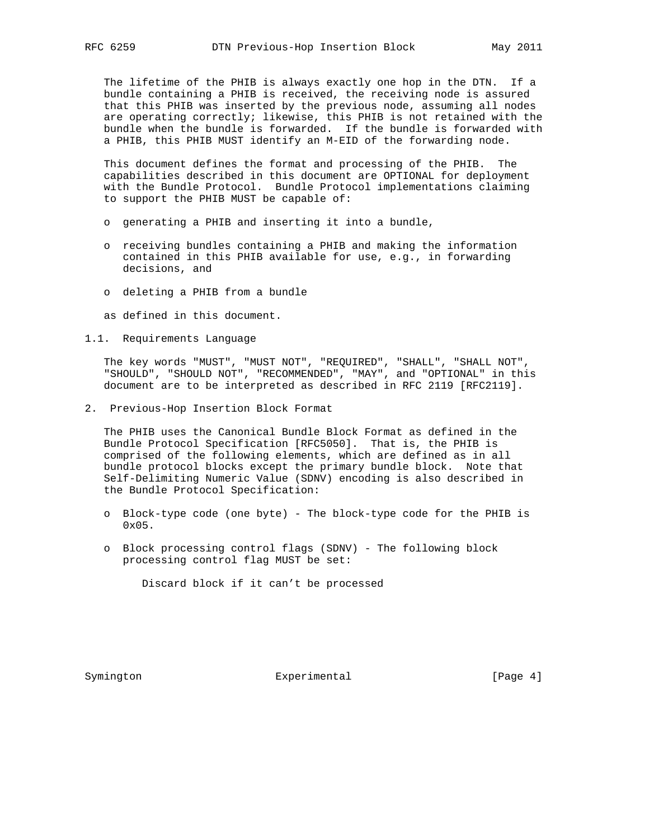The lifetime of the PHIB is always exactly one hop in the DTN. If a bundle containing a PHIB is received, the receiving node is assured that this PHIB was inserted by the previous node, assuming all nodes are operating correctly; likewise, this PHIB is not retained with the bundle when the bundle is forwarded. If the bundle is forwarded with a PHIB, this PHIB MUST identify an M-EID of the forwarding node.

 This document defines the format and processing of the PHIB. The capabilities described in this document are OPTIONAL for deployment with the Bundle Protocol. Bundle Protocol implementations claiming to support the PHIB MUST be capable of:

- o generating a PHIB and inserting it into a bundle,
- o receiving bundles containing a PHIB and making the information contained in this PHIB available for use, e.g., in forwarding decisions, and
- o deleting a PHIB from a bundle

as defined in this document.

1.1. Requirements Language

 The key words "MUST", "MUST NOT", "REQUIRED", "SHALL", "SHALL NOT", "SHOULD", "SHOULD NOT", "RECOMMENDED", "MAY", and "OPTIONAL" in this document are to be interpreted as described in RFC 2119 [RFC2119].

2. Previous-Hop Insertion Block Format

 The PHIB uses the Canonical Bundle Block Format as defined in the Bundle Protocol Specification [RFC5050]. That is, the PHIB is comprised of the following elements, which are defined as in all bundle protocol blocks except the primary bundle block. Note that Self-Delimiting Numeric Value (SDNV) encoding is also described in the Bundle Protocol Specification:

- o Block-type code (one byte) The block-type code for the PHIB is 0x05.
- o Block processing control flags (SDNV) The following block processing control flag MUST be set:

Discard block if it can't be processed

Symington Experimental Experimental [Page 4]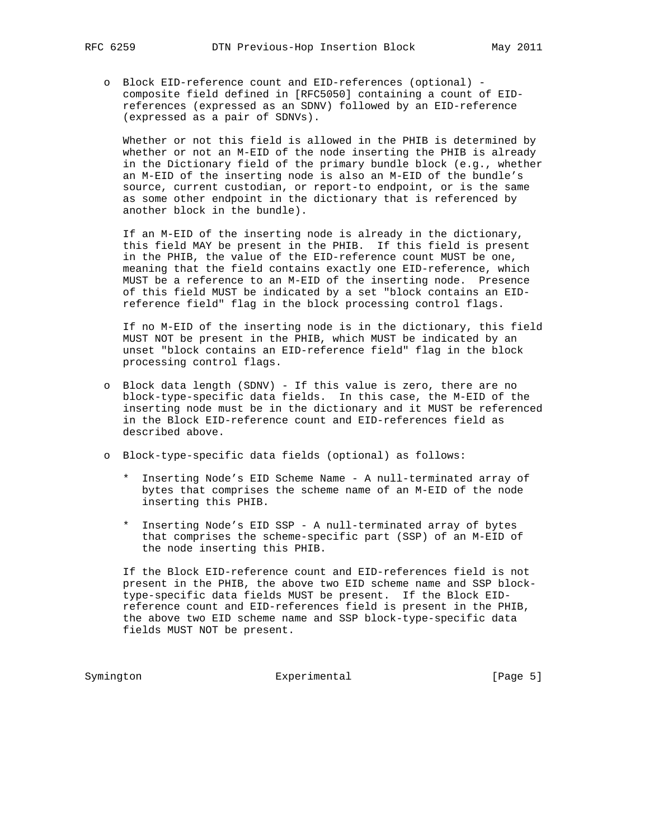o Block EID-reference count and EID-references (optional) composite field defined in [RFC5050] containing a count of EID references (expressed as an SDNV) followed by an EID-reference (expressed as a pair of SDNVs).

 Whether or not this field is allowed in the PHIB is determined by whether or not an M-EID of the node inserting the PHIB is already in the Dictionary field of the primary bundle block (e.g., whether an M-EID of the inserting node is also an M-EID of the bundle's source, current custodian, or report-to endpoint, or is the same as some other endpoint in the dictionary that is referenced by another block in the bundle).

 If an M-EID of the inserting node is already in the dictionary, this field MAY be present in the PHIB. If this field is present in the PHIB, the value of the EID-reference count MUST be one, meaning that the field contains exactly one EID-reference, which MUST be a reference to an M-EID of the inserting node. Presence of this field MUST be indicated by a set "block contains an EID reference field" flag in the block processing control flags.

 If no M-EID of the inserting node is in the dictionary, this field MUST NOT be present in the PHIB, which MUST be indicated by an unset "block contains an EID-reference field" flag in the block processing control flags.

- o Block data length (SDNV) If this value is zero, there are no block-type-specific data fields. In this case, the M-EID of the inserting node must be in the dictionary and it MUST be referenced in the Block EID-reference count and EID-references field as described above.
- o Block-type-specific data fields (optional) as follows:
	- \* Inserting Node's EID Scheme Name A null-terminated array of bytes that comprises the scheme name of an M-EID of the node inserting this PHIB.
	- \* Inserting Node's EID SSP A null-terminated array of bytes that comprises the scheme-specific part (SSP) of an M-EID of the node inserting this PHIB.

 If the Block EID-reference count and EID-references field is not present in the PHIB, the above two EID scheme name and SSP block type-specific data fields MUST be present. If the Block EID reference count and EID-references field is present in the PHIB, the above two EID scheme name and SSP block-type-specific data fields MUST NOT be present.

Symington Experimental Experimental [Page 5]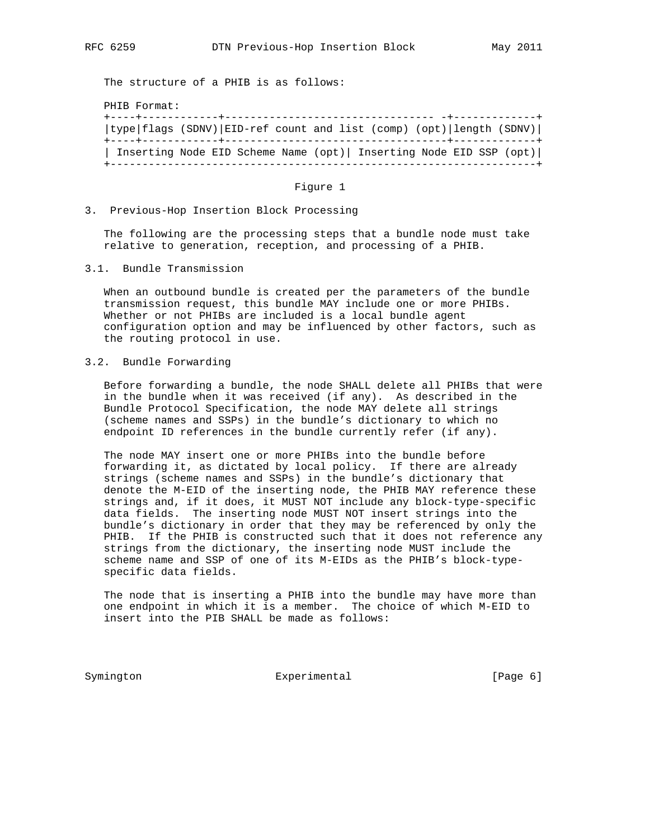The structure of a PHIB is as follows:

PHIB Format:

| type flags (SDNV) EID-ref count and list (comp) (opt) length (SDNV) |  |  |  |  |  |  |
|---------------------------------------------------------------------|--|--|--|--|--|--|
| Inserting Node EID Scheme Name (opt)   Inserting Node EID SSP (opt) |  |  |  |  |  |  |

### Figure 1

3. Previous-Hop Insertion Block Processing

 The following are the processing steps that a bundle node must take relative to generation, reception, and processing of a PHIB.

3.1. Bundle Transmission

 When an outbound bundle is created per the parameters of the bundle transmission request, this bundle MAY include one or more PHIBs. Whether or not PHIBs are included is a local bundle agent configuration option and may be influenced by other factors, such as the routing protocol in use.

# 3.2. Bundle Forwarding

 Before forwarding a bundle, the node SHALL delete all PHIBs that were in the bundle when it was received (if any). As described in the Bundle Protocol Specification, the node MAY delete all strings (scheme names and SSPs) in the bundle's dictionary to which no endpoint ID references in the bundle currently refer (if any).

 The node MAY insert one or more PHIBs into the bundle before forwarding it, as dictated by local policy. If there are already strings (scheme names and SSPs) in the bundle's dictionary that denote the M-EID of the inserting node, the PHIB MAY reference these strings and, if it does, it MUST NOT include any block-type-specific data fields. The inserting node MUST NOT insert strings into the bundle's dictionary in order that they may be referenced by only the PHIB. If the PHIB is constructed such that it does not reference any strings from the dictionary, the inserting node MUST include the scheme name and SSP of one of its M-EIDs as the PHIB's block-type specific data fields.

 The node that is inserting a PHIB into the bundle may have more than one endpoint in which it is a member. The choice of which M-EID to insert into the PIB SHALL be made as follows:

Symington **Experimental** Experimental [Page 6]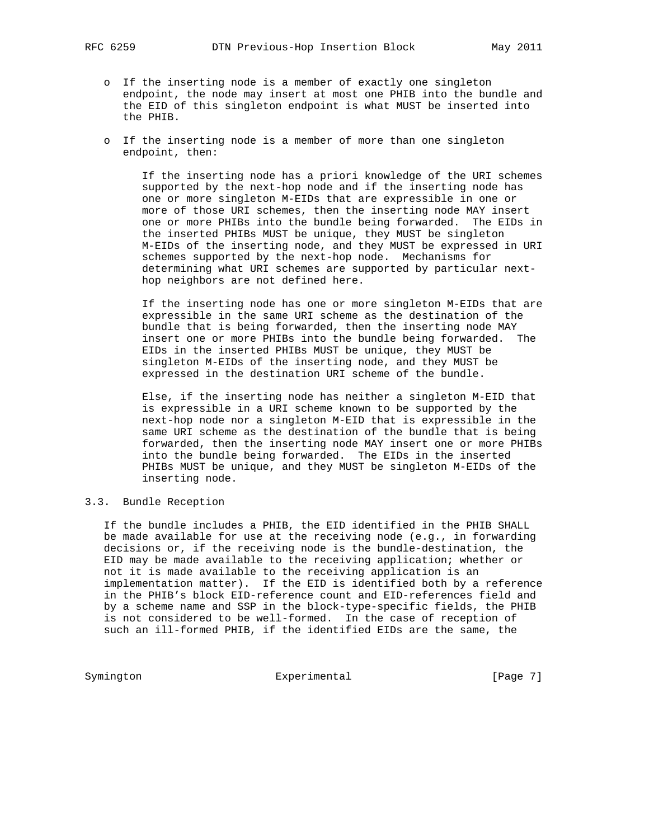- o If the inserting node is a member of exactly one singleton endpoint, the node may insert at most one PHIB into the bundle and the EID of this singleton endpoint is what MUST be inserted into the PHIB.
- o If the inserting node is a member of more than one singleton endpoint, then:

 If the inserting node has a priori knowledge of the URI schemes supported by the next-hop node and if the inserting node has one or more singleton M-EIDs that are expressible in one or more of those URI schemes, then the inserting node MAY insert one or more PHIBs into the bundle being forwarded. The EIDs in the inserted PHIBs MUST be unique, they MUST be singleton M-EIDs of the inserting node, and they MUST be expressed in URI schemes supported by the next-hop node. Mechanisms for determining what URI schemes are supported by particular next hop neighbors are not defined here.

 If the inserting node has one or more singleton M-EIDs that are expressible in the same URI scheme as the destination of the bundle that is being forwarded, then the inserting node MAY insert one or more PHIBs into the bundle being forwarded. The EIDs in the inserted PHIBs MUST be unique, they MUST be singleton M-EIDs of the inserting node, and they MUST be expressed in the destination URI scheme of the bundle.

 Else, if the inserting node has neither a singleton M-EID that is expressible in a URI scheme known to be supported by the next-hop node nor a singleton M-EID that is expressible in the same URI scheme as the destination of the bundle that is being forwarded, then the inserting node MAY insert one or more PHIBs into the bundle being forwarded. The EIDs in the inserted PHIBs MUST be unique, and they MUST be singleton M-EIDs of the inserting node.

3.3. Bundle Reception

 If the bundle includes a PHIB, the EID identified in the PHIB SHALL be made available for use at the receiving node (e.g., in forwarding decisions or, if the receiving node is the bundle-destination, the EID may be made available to the receiving application; whether or not it is made available to the receiving application is an implementation matter). If the EID is identified both by a reference in the PHIB's block EID-reference count and EID-references field and by a scheme name and SSP in the block-type-specific fields, the PHIB is not considered to be well-formed. In the case of reception of such an ill-formed PHIB, if the identified EIDs are the same, the

Symington Experimental Experimental [Page 7]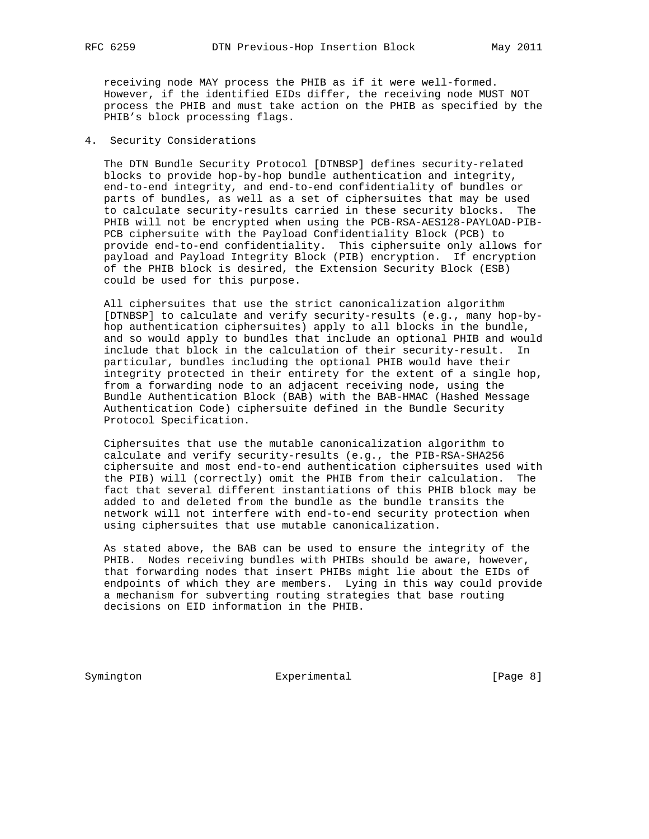receiving node MAY process the PHIB as if it were well-formed. However, if the identified EIDs differ, the receiving node MUST NOT process the PHIB and must take action on the PHIB as specified by the PHIB's block processing flags.

## 4. Security Considerations

 The DTN Bundle Security Protocol [DTNBSP] defines security-related blocks to provide hop-by-hop bundle authentication and integrity, end-to-end integrity, and end-to-end confidentiality of bundles or parts of bundles, as well as a set of ciphersuites that may be used to calculate security-results carried in these security blocks. The PHIB will not be encrypted when using the PCB-RSA-AES128-PAYLOAD-PIB- PCB ciphersuite with the Payload Confidentiality Block (PCB) to provide end-to-end confidentiality. This ciphersuite only allows for payload and Payload Integrity Block (PIB) encryption. If encryption of the PHIB block is desired, the Extension Security Block (ESB) could be used for this purpose.

 All ciphersuites that use the strict canonicalization algorithm [DTNBSP] to calculate and verify security-results (e.g., many hop-by hop authentication ciphersuites) apply to all blocks in the bundle, and so would apply to bundles that include an optional PHIB and would include that block in the calculation of their security-result. In particular, bundles including the optional PHIB would have their integrity protected in their entirety for the extent of a single hop, from a forwarding node to an adjacent receiving node, using the Bundle Authentication Block (BAB) with the BAB-HMAC (Hashed Message Authentication Code) ciphersuite defined in the Bundle Security Protocol Specification.

 Ciphersuites that use the mutable canonicalization algorithm to calculate and verify security-results (e.g., the PIB-RSA-SHA256 ciphersuite and most end-to-end authentication ciphersuites used with the PIB) will (correctly) omit the PHIB from their calculation. The fact that several different instantiations of this PHIB block may be added to and deleted from the bundle as the bundle transits the network will not interfere with end-to-end security protection when using ciphersuites that use mutable canonicalization.

 As stated above, the BAB can be used to ensure the integrity of the PHIB. Nodes receiving bundles with PHIBs should be aware, however, that forwarding nodes that insert PHIBs might lie about the EIDs of endpoints of which they are members. Lying in this way could provide a mechanism for subverting routing strategies that base routing decisions on EID information in the PHIB.

Symington Experimental Experimental [Page 8]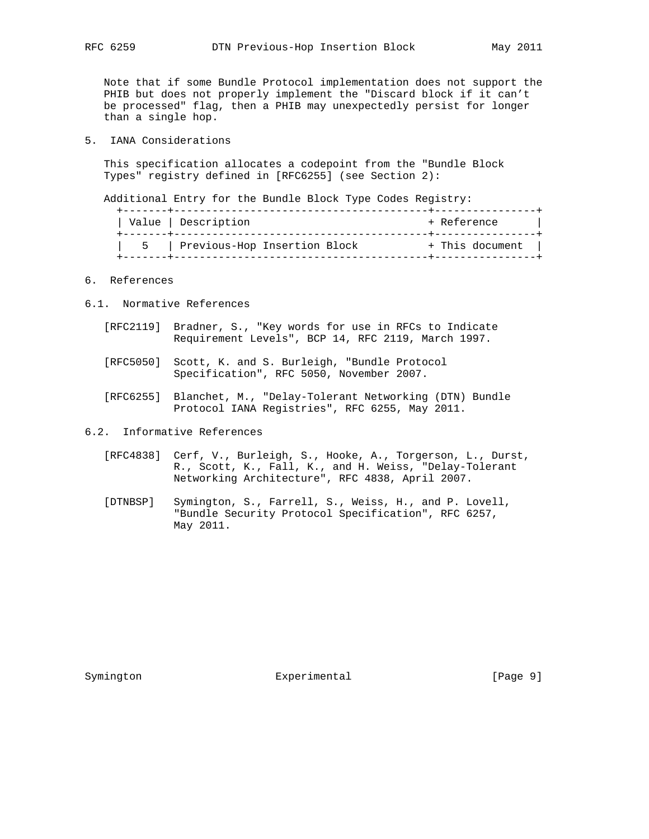Note that if some Bundle Protocol implementation does not support the PHIB but does not properly implement the "Discard block if it can't be processed" flag, then a PHIB may unexpectedly persist for longer than a single hop.

5. IANA Considerations

 This specification allocates a codepoint from the "Bundle Block Types" registry defined in [RFC6255] (see Section 2):

Additional Entry for the Bundle Block Type Codes Registry:

|    | Value   Description          | + Reference     |
|----|------------------------------|-----------------|
| Б. | Previous-Hop Insertion Block | + This document |

# 6. References

- 6.1. Normative References
	- [RFC2119] Bradner, S., "Key words for use in RFCs to Indicate Requirement Levels", BCP 14, RFC 2119, March 1997.
	- [RFC5050] Scott, K. and S. Burleigh, "Bundle Protocol Specification", RFC 5050, November 2007.
	- [RFC6255] Blanchet, M., "Delay-Tolerant Networking (DTN) Bundle Protocol IANA Registries", RFC 6255, May 2011.
- 6.2. Informative References
	- [RFC4838] Cerf, V., Burleigh, S., Hooke, A., Torgerson, L., Durst, R., Scott, K., Fall, K., and H. Weiss, "Delay-Tolerant Networking Architecture", RFC 4838, April 2007.
	- [DTNBSP] Symington, S., Farrell, S., Weiss, H., and P. Lovell, "Bundle Security Protocol Specification", RFC 6257, May 2011.

Symington **Experimental** Experimental [Page 9]